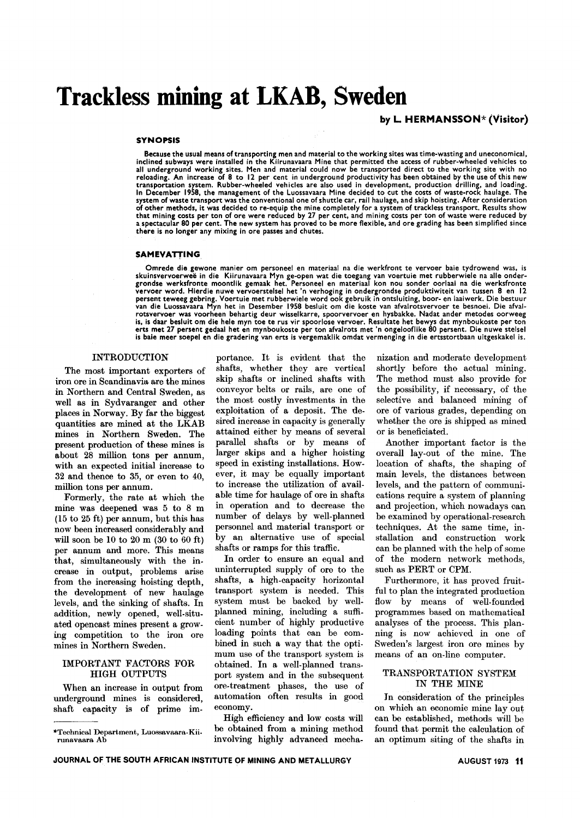# **Trackless mining at LKAB, Sweden**

## by L. HERMANSSON\* (Visitor)

#### SYNOPSIS

Because the usual means of transporting men and material to the working sites was time-wasting and uneconomical, inclined subways were installed in the Kiirunavaara Mine that permitted the access of rubber-wheeled vehicles to<br>all underground working sites. Men and material could now be transported direct to the working site with no<br>r transportation system. Rubber-wheeled vehicles are also used in development, production drilling, and loading. In December 1958, the management of the Luossavaara Mine decided to cut the costs of waste-rock haulage. The system of waste transport was the conventional one of shuttle car, rail haulage, and skip hoisting. After consideration of other methods, it was decided to re-equip the mine completely for a system of trackless transport. Results show that mining costs per ton of ore were reduced by 27 per cent, and mining costs per ton of waste were reduced by<br>a spectacular 80 per cent. The new system has proved to be more flexible, and ore grading has been simplified there is no longer any mixing in ore passes and chutes.

#### **SAMEVATTING**

Omrede die .gewone manier om personeel en materiaal na die werkfront te vervoer baie tydrowend was, is skuinsvervoerweë in die Kiirunavaara Myn ge-open wat die toegang van voertuie met rubberwiele na alle onder<br>grondse werksfronte moontlik gemaak het. Personeel en materiaal kon nou sonder oorlaai na die werksfront vervoer word. Hierdie nuwe vervoerstelsel het 'n verhoging in ondergrondse produktiwiteit van tussen 8 en 12 persent teweeg gebring. Voertuie met rubberwiele word oak gebruik in ontsluiting, boor- en laaiwerk. Die bestuur van die Luossavaara Myn het in Desember 1958 besluit om die koste van afvalrotsvervoer te besnoei. Die afvalrotsvervoer was voorheen behartig deur wisselkarre, spoorvervoer en hysbakke. Nadat ander metodes oorwee;<br>is, is daar besluit om die hele myn toe te rus vir spoorlose vervoer. Resultate het bewys dat mynboukoste per to<br>ert is baie meer soepel en die gradering van erts is vergemaklik omdat vermenging in die ertsstortbaan uitgeskakel is.

#### INTRODUCTION

The most important exporters of iron ore in Scandinavia are the mines in Northern and Central Sweden, as well as in Sydvaranger and other places in Norway. By far the biggest quantities are mined at the LKAB mines in Northern Sweden. The present production of these mines is about 28 million tons per annum, with an expected initial increase to 32 and thence to 35, or even to 40, million tons per annum.

Formerly, the rate at which the mine was deepened was 5 to 8 m (15 to 25 ft) per annum, but this has now been increased considerably and will soon be 10 to 20 m (30 to 60 ft) per annum and more. This means that, simultaneously with the increase in output, problems arise from the increasing hoisting depth, the development of new haulage levels, and the sinking of shafts. In addition, newly opened, well-situated opencast mines present a growing competition to the iron ore mines in Northern Sweden.

## IMPORTANT FACTORS FOR HIGH OUTPUTS

When an increase in output from underground mines is considered, shaft capacity is of prime im-

portance. It is evident that the shafts, whether they are vertical skip shafts or inclined shafts with conveyor belts or rails, are one of the most costly investments in the exploitation of a deposit. The desired increase in capacity is generally attained either by means of several parallel shafts or by means of larger skips and a higher hoisting speed in existing installations. However, it may be equally important to increase the utilization of available time for haulage of ore in shafts in operation and to decrease the number of delays by well-planned personnel and material transport or by an alternative use of special shafts or ramps for this traffic.

In order to ensure an equal and uninterrupted supply of ore to the shafts, a high-capacity horizontal transport system is needed. This system must be backed by wellplanned mining, including a sufficient number of highly productive loading points that can be combined in such a way that the optimum use of the transport system is obtained. In a well-planned transport system and in the subsequent ore-treatment phases, the use of automation often results in good economy.

High efficiency and low costs will be obtained from a mining method involving highly advanced mecha-

nization and moderate development shortly before the actual mining. The method must also provide for the possibility, if necessary, of the selective and balanced mining of ore of various grades, depending on whether the ore is shipped as mined or is beneficiated.

Another important factor is the overall lay-out of the mine. The location of shafts, the shaping of main levels, the distances between levels, and the pattern of communications require a system of planning and projection, which nowadays can be examined by operational-research techniques. At the same time, installation and construction work can be planned with the help of some of the modem network methods, such as PERT or CPM.

Furthermore, it has proved fruitful to plan the integrated production flow by means of well-founded programmes based on mathematical analyses of the process. This planning is now achieved in one of Sweden's largest iron ore mines by means of an on-line computer.

## TRANSPORTATION SYSTEM IN THE MINE

In consideration of the principles on which an economic mine layout can be established, methods will be found that permit the calculation of an optimum siting of the shafts in

<sup>&</sup>quot;'Technical Department, Luossavaara-Kiirunavaara Ab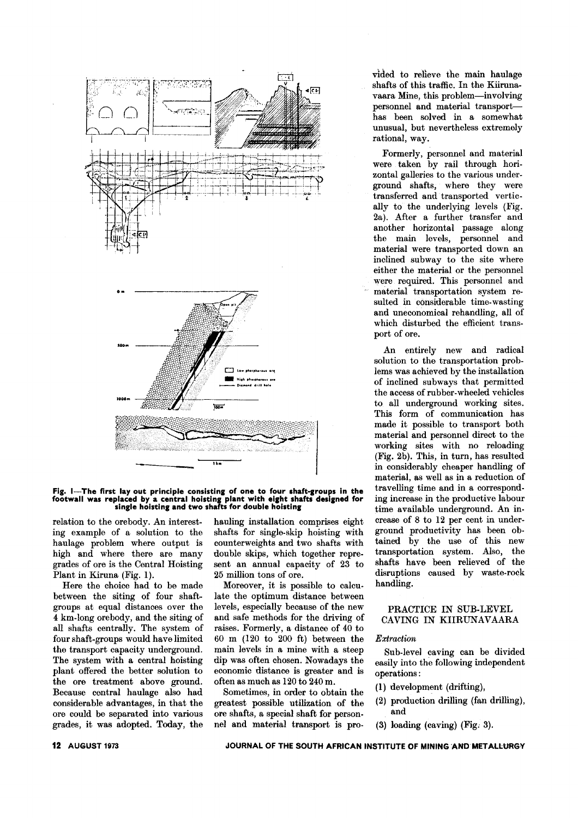

## Fig. I-The first lay out principle consisting of one to four shaft-groups in the footwall was replaced by a central hoisting plant with eight shafts designed for single hoisting and *two* shafts for double hoisting

ing example of a solution to the shafts for single-skip hoisting with haulage problem where output is counterweights and two shafts with high and where there are many double skips, which together repregrades of ore is the Central Hoisting sent an annual capacity of 23 to Plant in Kiruna (Fig. 1). 25 million tons of ore.

Here the choice had to be made Moreover, it is possible to calcubetween the siting of four shaft- late the optimum distance between groups at equal distances over the levels, especially because of the new 4 km-long orebody, and the siting of and safe methods for the driving of all shafts centrally. The system of raises. Formerly, a distance of 40 to four shaft-groups would have limited  $60 \text{ m}$  (120 to 200 ft) between the the transport capacity underground. main levels in a mine with a steep The system with a central hoisting dip was often chosen. Nowadays the plant offered the better solution to economic distance is greater and is plant offered the better solution to the ore treatment above ground. often as much as 120 to 240 m. Because central haulage also had Sometimes, in order to obtain the considerable advantages, in that the greatest possible utilization of the ore could be separated into various ore shafts, a special shaft for persongrades, it was adopted. Today, the nel and material transport is pro-

relation to the orebody. An interest- hauling installation comprises eight

vided to relleve the main haulage shafts of this traffic. In the Kiirunavaara Mine, this problem-involving personnel and material transporthas been solved in a somewhat unusual, but nevertheless extremely rational, way.

Formerly, personnel and material were taken by rail through horizontal galleries to the various underground shafts, where they were transferred and' transported vertically to the underlying levels (Fig. 2a). After a further transfer and another horizontal passage along the main levels, personnel and material were transported down an inclined subway to the site where either the material or the personnel were required. This personnel and material transportation system resulted in considerable time-wasting and uneconomical rehandling, all of which disturbed the efficient transport of ore.

An entirely new and radical solution to the transportation problems was achieved by the installation of inclined subways that permitted the access of rubber-wheeled vehicles to all underground working sites. This form of communication has made it possible to transport both material and personnel direct to the working sites with no reloading (Fig. 2b). This, in turn, has resulte in considerably cheaper handling of material, as well as in a reduction of travelling time and in a corresponding increase in the productive labour time available underground. An increase of 8 to 12 per cent in underground productivity has been obtained by the use of this new transportation system. Also, the shafts have been relieved of the disruptions caused by waste-rock handling.

## PRACTICE IN SUB-LEVEL CAVING IN KIIRUNAVAARA

## *Extraction*

Sub-level caving can be divided easily into the following independent operations:

- (1) development (drifting),
- (2) production drilling (fan drilling), and
- (3) loading (caving) (Fig; 3).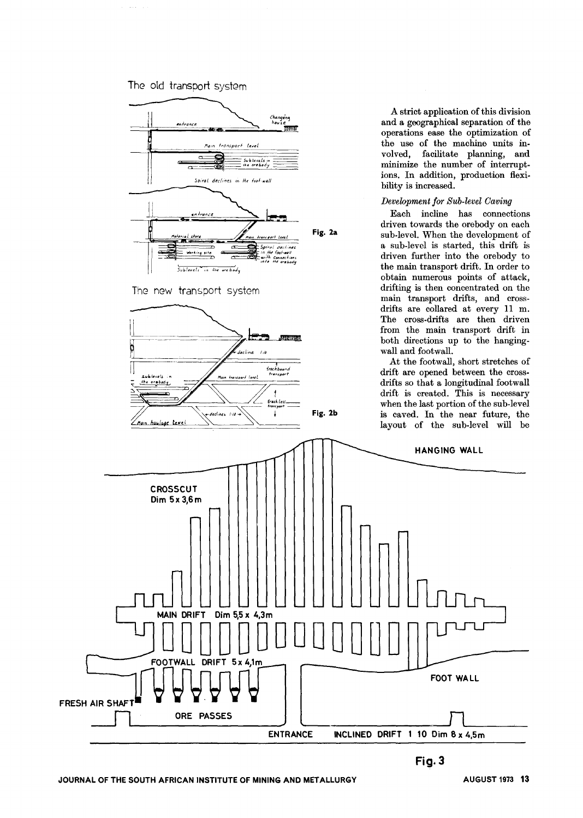



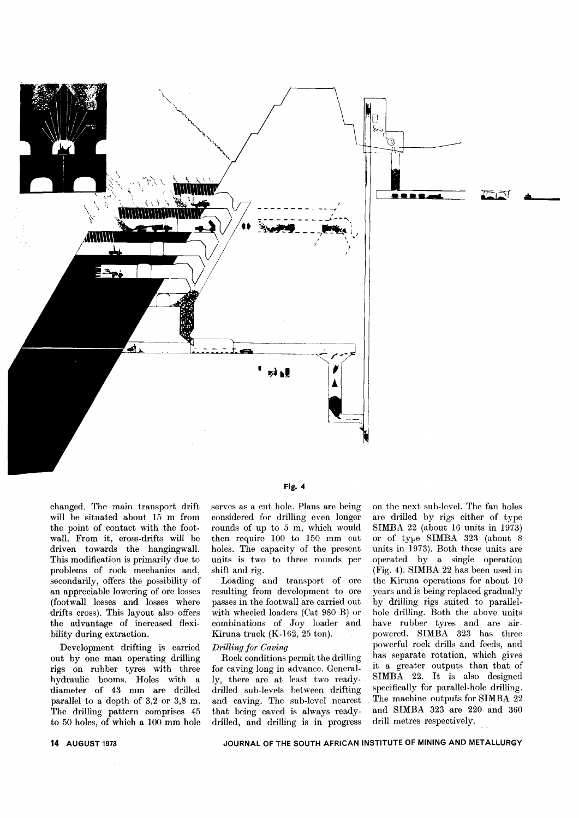

changed. The main transport drift will be situated about 15 m from the point of contact with the footwall. From it, cross-drifts will be driven towards the hangingwall. This modification is primarily due to problems of rock mechanics and, secondarily, offers the possibility of an appreciable lowering of ore losses (foot wall losses and losses where drifts cross). This layout also offers the advantage of increased flexibility during extraction.

Development drifting is carried out by one man operating drilling rigs on rubber tyres with three hydraulic booms. Holes with a diameter of 43 mm are drilled parallel to a depth of 3,2 or 3,8 m. The drilling pattern comprises 45 to 50 holes, of which a 100 mm hole serves as a cut hole. Plans are being considered for drilling even longer rounds of up to 5 m, which would then require 100 to 150 mm cut holes. The capacity of the present units is two to three rounds per shift and rig.

Loading and transport of ore resulting from development to ore passes in the footwall are carried out with wheeled loaders (Cat 980 B) or combinations of Joy loader and Kiruna truck (K-162, 25 ton).

#### *Drilling for Caving*

Rock conditions permit the drilling for caving long in advance. Generally, there are at least two readydrilled sub-levels between drifting and caving. The sub-level nearest that being caved is always readydrilled, and drilling is in progress

on the next sub-level. The fan holes are drilled by rigs either of type SIMBA 22 (about 16 units in 1973) or of type SIMBA 323 (about  $8$ units in 1973). Both these units are operated by a single operation (Fig. 4). SIMBA 22 has been used in the Kiruna operations for about 10 years and is being replaced gradually by drilling rigs suited to parallelhole drilling. Both the above units have rubber tyres and are airpowered. SIMBA 323 has three powerful rock drills and feeds, and has separate rotation, which gives it a greater outputs than that of SIMBA 22. It is also designed specifically for parallel-hole drilling. The machine outputs for SIMBA 22 and SIMBA 323 are 220 and 360 drill metres respectively.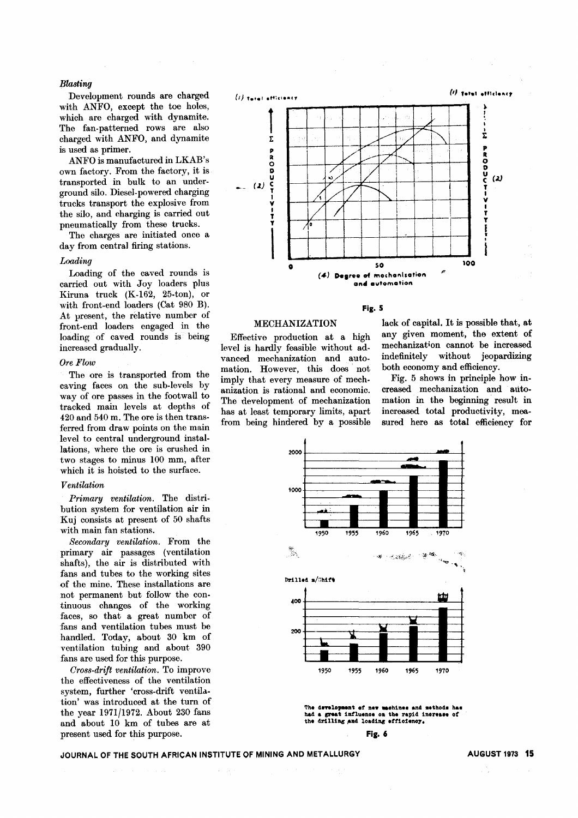#### *Blasting*

Development rounds are charged with ANFO, except the toe holes, which are charged with dynamite. The fan-patterned rows are also charged with ANFO, and dynamite is used as primer.

ANFO is manufactured in LKAB's own factory. From the factory, it is transported in bulk to an underground silo. Diesel-powered charging trucks transport the explosive from the silo, and charging is carried out pneumatically from these trucks.

The charges are initiated once a day from central firing stations.

#### *Loading*

Loading of the caved rounds is carried out with Joy loaders plus Kiruna truck (K-162, 25-ton), or with front-end loaders (Cat 980 B). At present, the relative number of front-end loaders engaged in the loading of caved rounds is being increased gradually.

#### *Ore Flow*

The ore is transported from the caving faces on the sub-levels by way of ore passes in the footwall to tracked main levels at depths of 420 and 540 m. The ore is then transferred from draw points on the main level to central underground installations, where the ore is crushed in two stages to minus 100 mm, after which it is hoisted to the surface.

#### *Ventilation*

*Primary ventilation.* The distribution system for ventilation air in Kuj consists at present of 50 shafts with main fan stations.

*Secondary ventilation.* From the primary air passages (ventilation shafts), the air is distributed with fans and tubes to the working sites of the mine. These installations are not permanent but follow the continuous changes of the working faces, so that a great number of fans and ventilation tubes must be handled. Today, about 30 km of ventilation tubing and about 390 fans are used for this purpose.

*Cross-drift ventilation.* To improve the effectiveness of the ventilation system, further 'cross-drift ventilation' was introduced at the turn of the year *1971/1972.* About 230 fans and about 10 km of tubes are at present used for this purpose.





#### MECHANIZATION

Effective production at a high level is hardly feasible without advanced mechanization and automation. However, this does not imply that every measure of mechanization is rational and economic. The development of mechanization has at least temporary limits, apart from being hindered by a possible lack of capital. It is possible that, at any given moment, the extent of mechanization cannot be increased indefinitely without jeopardizing both economy and efficiency.

Fig. 5 shows in principle how in. creased mechanization and automation in the beginning resuJt in increased total productivity, measured here as total efficiency for



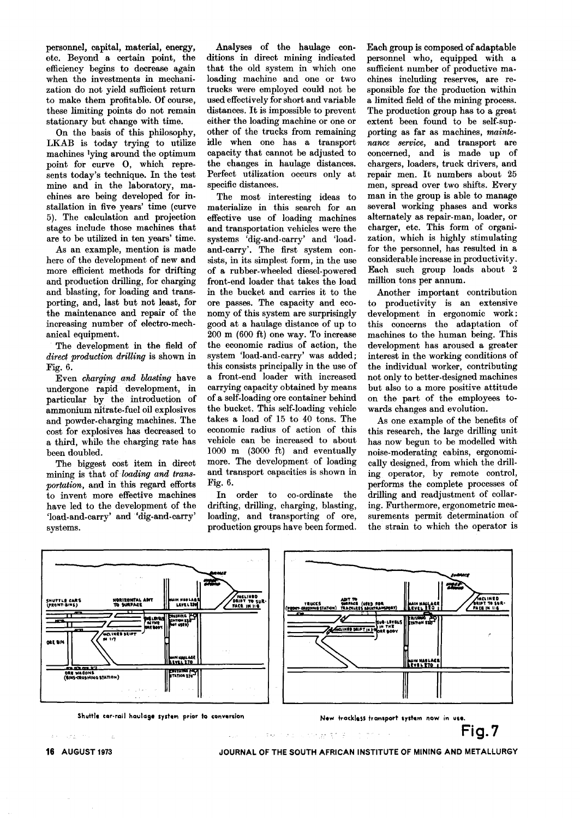personnel, capital, material, energy, etc. Beyond a certain point, the efficiency begins to decrease again when the investments in mechanization do not yield sufficient return to make them profitable. Of course, these limiting points do not remain stationary but change with time.

On the basis of this philosophy, LKAB is today trying to utilize machines lying around the optimum point for curve 0, which represents today's technique. In the test mine and in the laboratory, machines are being developed for installation in five years' time (curve 5). The calculation and projection stages include those machines that are to be utilized in ten years' time.

As an example, mention is made here of the development of new and more efficient methods for drifting and production drilling, for charging and blasting, for loading and transporting, and, last but not least, for the maintenance and repair of the increasing number of electro-mechanical equipment.

The development in the field of *direct production drilling* is shown in Fig. 6.

Even *charging and blasting* have undergone rapid development, in particular by the introduction of ammonium nitrate-fuel oil explosives and powder-charging machines. The cost for explosives has decreased to a third, while the charging rate has been doubled.

The biggest cost item in direct mining is that of *loading and transportation,* and in this regard efforts to invent more effective machines have led to the development of the 'load-and-carry' and'dig-and-carry' systems.

Analyses of the haulage conditions in direct mining indicated that the old system in which one loading machine and one or two trucks were employed could not be used effectively for short and variable distances. It is impossible to prevent either the loading machine or one or other of the trucks from remaining idle when one has a transport capacity that cannot be adjusted to the changes in haulage distances. Perfect utilization occurs only at specific distances.

The most interesting ideas to materialize in this search for an effective use of loading machines and transportation vehicles were the systems 'dig-and-carry' and 'loadand-carry'. The first system consists, in its simplest form, in the use of a rubber-wheeled diesel-powered front-end loader that takes the load in the bucket and carries it to the ore passes. The capacity and economy of this system are surprisingly good at a haulage distance of up to 200 m (600 ft) one way. To increase the economic radius of action, the system 'load-and-carry' was added; this consists principally in the use of a front-end loader with increased carrying capacity obtained by means of a self-loading ore container behind the bucket. This self-loading vehicle takes a load of 15 to 40 tons. The economic radius of action of this vehicle can be increased to about 1000 m (3000 ft) and eventually more. The development of loading and transport capacities is shown in Fig. 6.

In order to co-ordinate the drifting, drilling, charging, blasting, loading, and transporting of ore, production groups have been formed. Each group is composed of adaptable personnel who, equipped with a sufficient number of productive ma. chines including reserves, are responsible for the production within a limited field of the mining process. The production group has to a great extent been found to be self-supporting as far as machines, *maintenance service,* and transport are concerned, and is made up of chargers, loaders, truck drivers, and repair men. It numbers about 25 men, spread over two shifts. Every man in the group is able to manage several working phases and works alternately as repair-man, loader, or charger, etc. This form of organization, which is highly stimulating for the personnel, has resulted in a considerable increase in productivity. Each such group loads about 2 million tons per annum.

Another important contribution to productivity is an extensive development in ergonomic work; this concerns the adaptation of machines to the human being. This development has aroused a greater interest in the working conditions of the individual worker, contributing not only to better-designed machines but also to a more positive attitude on the part of the employees towards changes and evolution.

As one example of the benefits of this research, the large drilling unit has now begun to be modelled with noise-moderating cabins, ergonomically designed, from which the drilling operator, by remote control, performs the complete processes of drilling and readjustment of collaring. Furthermore, ergonometric measurements permit determination of the strain to which the operator is



JOURNAL OF THE SOUTH AFRICAN INSTITUTE OF MINING AND METALLURGY